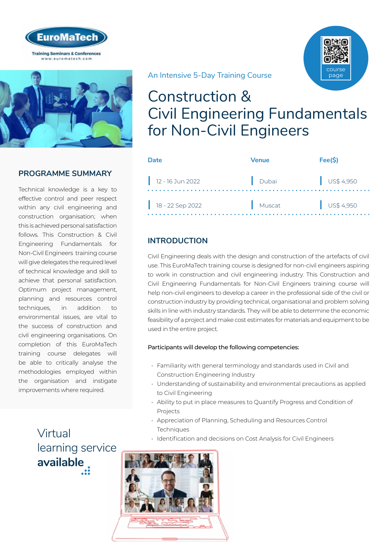



## **PROGRAMME SUMMARY**

Technical knowledge is a key to effective control and peer respect within any civil engineering and construction organisation; when this is achieved personal satisfaction follows. This Construction & Civil Engineering Fundamentals for Non-Civil Engineers training course will give delegates the required level of technical knowledge and skill to achieve that personal satisfaction. Optimum project management, planning and resources control techniques, in addition to environmental issues, are vital to the success of construction and civil engineering organisations. On completion of this EuroMaTech training course delegates will be able to critically analyse the methodologies employed within the organisation and instigate improvements where required.

An Intensive 5-Day Training Course

## Construction & Civil Engineering Fundamentals for Non-Civil Engineers

| Date               | Venue  | Fee(S)    |
|--------------------|--------|-----------|
| $12 - 16$ Jun 2022 | Dubai  | US\$4,950 |
| 18 - 22 Sep 2022   | Muscat | US\$4,950 |

## **INTRODUCTION**

Civil Engineering deals with the design and construction of the artefacts of civil use. This EuroMaTech training course is designed for non-civil engineers aspiring to work in construction and civil engineering industry. This Construction and Civil Engineering Fundamentals for Non-Civil Engineers training course will help non-civil engineers to develop a career in the professional side of the civil or construction industry by providing technical, organisational and problem solving skills in line with industry standards. They will be able to determine the economic feasibility of a project and make cost estimates for materials and equipment to be used in the entire project.

#### Participants will develop the following competencies:

- Familiarity with general terminology and standards used in Civil and Construction Engineering Industry
- Understanding of sustainability and environmental precautions as applied to Civil Engineering
- Ability to put in place measures to Quantify Progress and Condition of Projects
- Appreciation of Planning, Scheduling and Resources Control **Techniques**
- Identification and decisions on Cost Analysis for Civil Engineers

Virtual [learning service](https://www.euromatech.com/seminars/construction-civil-engineering-fundamentals-for-non-civil-engineers/)  **available**



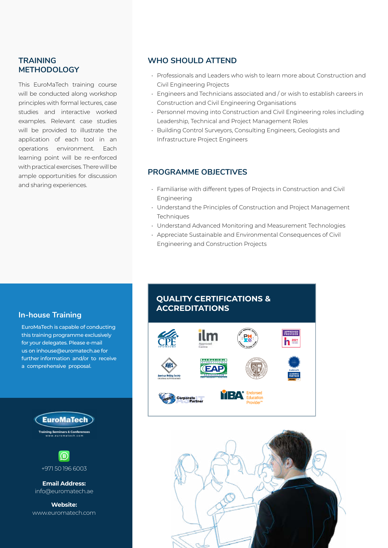### **TRAINING METHODOLOGY**

This EuroMaTech training course will be conducted along workshop principles with formal lectures, case studies and interactive worked examples. Relevant case studies will be provided to illustrate the application of each tool in an operations environment. Each learning point will be re-enforced with practical exercises. There will be ample opportunities for discussion and sharing experiences.

### **WHO SHOULD ATTEND**

- Professionals and Leaders who wish to learn more about Construction and Civil Engineering Projects
- Engineers and Technicians associated and / or wish to establish careers in Construction and Civil Engineering Organisations
- Personnel moving into Construction and Civil Engineering roles including Leadership, Technical and Project Management Roles
- Building Control Surveyors, Consulting Engineers, Geologists and Infrastructure Project Engineers

### **PROGRAMME OBJECTIVES**

- Familiarise with different types of Projects in Construction and Civil Engineering
- Understand the Principles of Construction and Project Management **Techniques**
- Understand Advanced Monitoring and Measurement Technologies
- Appreciate Sustainable and Environmental Consequences of Civil Engineering and Construction Projects

#### **In-house Training**

EuroMaTech is capable of conducting this training programme exclusively for your delegates. Please e-mail us on inhouse@euromatech.ae for further information and/or to receive a comprehensive proposal.





**Email Address:** info@euromatech.ae

**Website:** www.euromatech.com

### **QUALITY CERTIFICATIONS & ACCREDITATIONS**



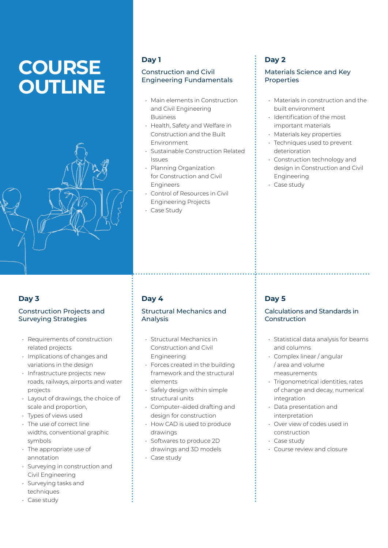# **COURSE OUTLINE**



#### **Day 1**

#### Construction and Civil Engineering Fundamentals

- Main elements in Construction and Civil Engineering Business
- Health, Safety and Welfare in Construction and the Built Environment
- Sustainable Construction Related Issues
- Planning Organization for Construction and Civil Engineers
- Control of Resources in Civil Engineering Projects
- Case Study

## **Day 2**

#### Materials Science and Key **Properties**

- Materials in construction and the built environment
- Identification of the most important materials
- Materials key properties
- Techniques used to prevent deterioration
- Construction technology and design in Construction and Civil Engineering
- Case study

## **Day 3**

#### Construction Projects and Surveying Strategies

- Requirements of construction related projects
- Implications of changes and variations in the design
- Infrastructure projects: new roads, railways, airports and water projects
- Layout of drawings, the choice of scale and proportion,
- Types of views used
- The use of correct line widths, conventional graphic symbols
- The appropriate use of annotation
- Surveying in construction and Civil Engineering
- Surveying tasks and techniques
- Case study

## **Day 4**

#### Structural Mechanics and Analysis

- Structural Mechanics in Construction and Civil Engineering
- Forces created in the building framework and the structural elements
- Safely design within simple structural units
- Computer–aided drafting and design for construction
- How CAD is used to produce drawings
- Softwares to produce 2D drawings and 3D models
- Case study

## **Day 5**

#### Calculations and Standards in Construction

- Statistical data analysis for beams and columns
- Complex linear / angular / area and volume measurements
- Trigonometrical identities, rates of change and decay, numerical integration
- Data presentation and interpretation
- Over view of codes used in construction
- Case study
- Course review and closure